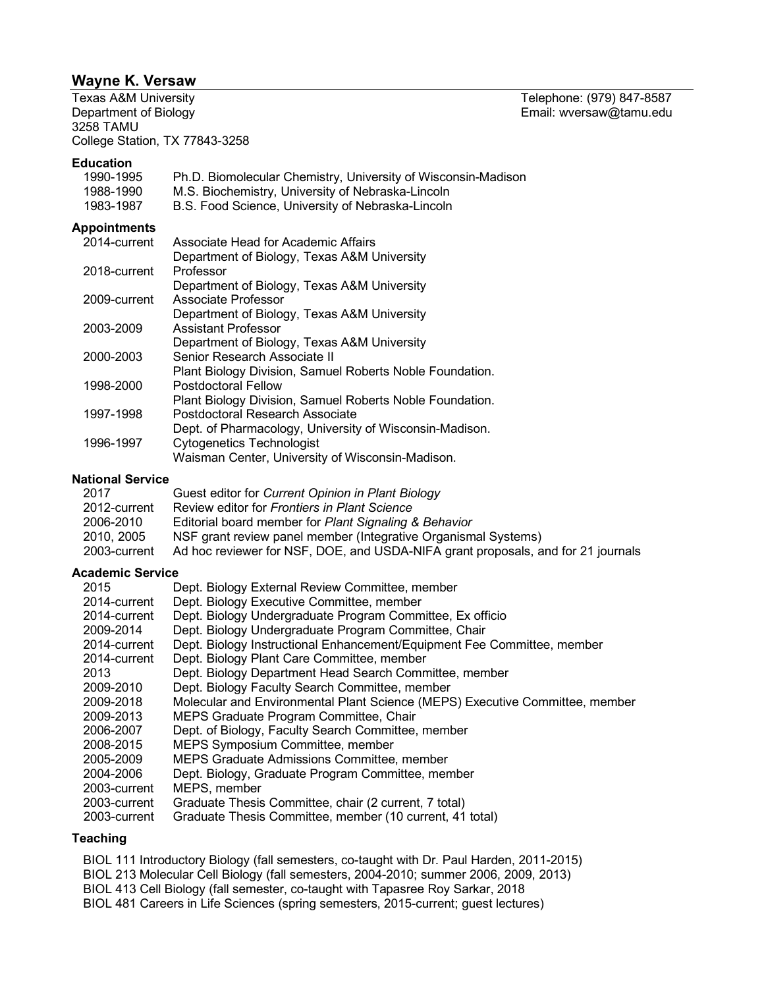# **Wayne K. Versaw**

Department of Biology **Email:** wversaw@tamu.edu 3258 TAMU College Station, TX 77843-3258

# **Education**

| 1990-1995<br>1988-1990<br>1983-1987 | Ph.D. Biomolecular Chemistry, University of Wisconsin-Madison<br>M.S. Biochemistry, University of Nebraska-Lincoln<br>B.S. Food Science, University of Nebraska-Lincoln |
|-------------------------------------|-------------------------------------------------------------------------------------------------------------------------------------------------------------------------|
| <b>Appointments</b>                 |                                                                                                                                                                         |
| 2014-current                        | Associate Head for Academic Affairs                                                                                                                                     |
|                                     | Department of Biology, Texas A&M University                                                                                                                             |
| 2018-current                        | Professor                                                                                                                                                               |
|                                     | Department of Biology, Texas A&M University                                                                                                                             |
| 2009-current                        | Associate Professor                                                                                                                                                     |
|                                     | Department of Biology, Texas A&M University                                                                                                                             |
| 2003-2009                           | Assistant Professor                                                                                                                                                     |
|                                     | Department of Biology, Texas A&M University                                                                                                                             |
| 2000-2003                           | Senior Research Associate II                                                                                                                                            |
|                                     | Plant Biology Division, Samuel Roberts Noble Foundation.                                                                                                                |
| 1998-2000                           | Postdoctoral Fellow                                                                                                                                                     |
|                                     | Plant Biology Division, Samuel Roberts Noble Foundation.                                                                                                                |
| 1007-1008                           | Doetdoetoral Desparch Associate                                                                                                                                         |

| <u> । ଏଏ । - । ଏଏଠ</u> | POSIQUOCIONAL RESEANCH ASSOCIALE                        |
|------------------------|---------------------------------------------------------|
|                        | Dept. of Pharmacology, University of Wisconsin-Madison. |
| 1996-1997              | Cytogenetics Technologist                               |
|                        | Waisman Center, University of Wisconsin-Madison.        |

### **National Service**

| 2017         | Guest editor for Current Opinion in Plant Biology                                |
|--------------|----------------------------------------------------------------------------------|
| 2012-current | Review editor for Frontiers in Plant Science                                     |
| 2006-2010    | Editorial board member for Plant Signaling & Behavior                            |
| 2010, 2005   | NSF grant review panel member (Integrative Organismal Systems)                   |
| 2003-current | Ad hoc reviewer for NSF, DOE, and USDA-NIFA grant proposals, and for 21 journals |

### **Academic Service**

| 2015         | Dept. Biology External Review Committee, member                              |
|--------------|------------------------------------------------------------------------------|
| 2014-current | Dept. Biology Executive Committee, member                                    |
| 2014-current | Dept. Biology Undergraduate Program Committee, Ex officio                    |
| 2009-2014    | Dept. Biology Undergraduate Program Committee, Chair                         |
| 2014-current | Dept. Biology Instructional Enhancement/Equipment Fee Committee, member      |
| 2014-current | Dept. Biology Plant Care Committee, member                                   |
| 2013         | Dept. Biology Department Head Search Committee, member                       |
| 2009-2010    | Dept. Biology Faculty Search Committee, member                               |
| 2009-2018    | Molecular and Environmental Plant Science (MEPS) Executive Committee, member |
| 2009-2013    | MEPS Graduate Program Committee, Chair                                       |
| 2006-2007    | Dept. of Biology, Faculty Search Committee, member                           |
| 2008-2015    | MEPS Symposium Committee, member                                             |
| 2005-2009    | MEPS Graduate Admissions Committee, member                                   |
| 2004-2006    | Dept. Biology, Graduate Program Committee, member                            |
| 2003-current | MEPS, member                                                                 |
| 2003-current | Graduate Thesis Committee, chair (2 current, 7 total)                        |
| 2003-current | Graduate Thesis Committee, member (10 current, 41 total)                     |

### **Teaching**

BIOL 111 Introductory Biology (fall semesters, co-taught with Dr. Paul Harden, 2011-2015)

BIOL 213 Molecular Cell Biology (fall semesters, 2004-2010; summer 2006, 2009, 2013)

BIOL 413 Cell Biology (fall semester, co-taught with Tapasree Roy Sarkar, 2018

BIOL 481 Careers in Life Sciences (spring semesters, 2015-current; guest lectures)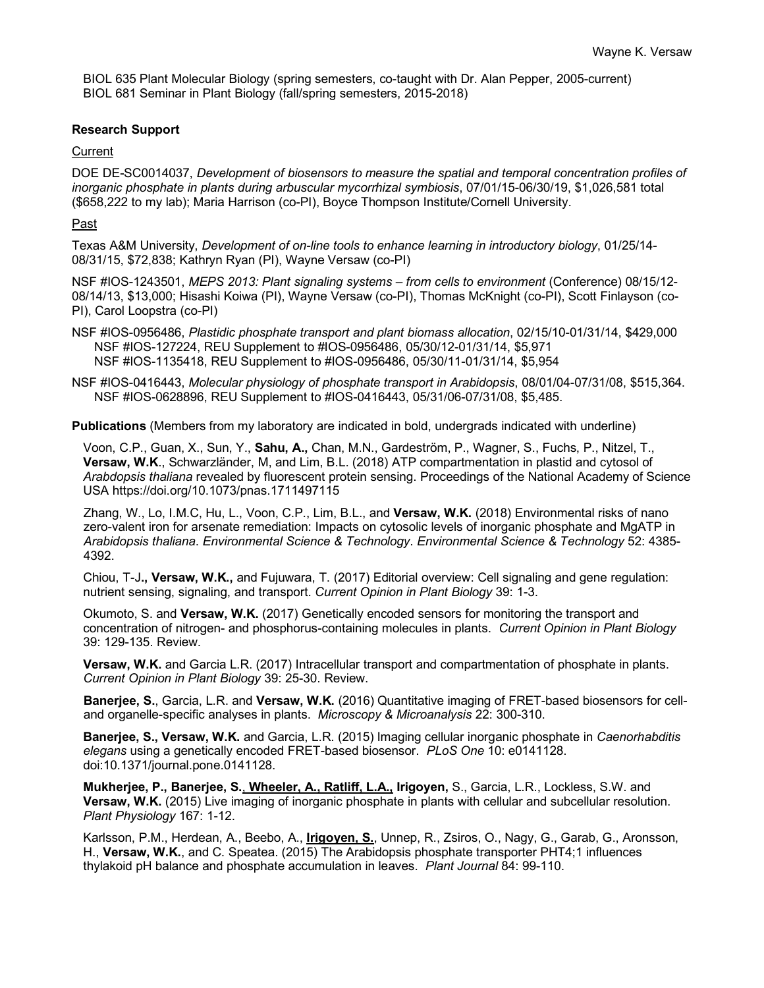BIOL 635 Plant Molecular Biology (spring semesters, co-taught with Dr. Alan Pepper, 2005-current) BIOL 681 Seminar in Plant Biology (fall/spring semesters, 2015-2018)

# **Research Support**

# **Current**

DOE DE-SC0014037, *Development of biosensors to measure the spatial and temporal concentration profiles of inorganic phosphate in plants during arbuscular mycorrhizal symbiosis*, 07/01/15-06/30/19, \$1,026,581 total (\$658,222 to my lab); Maria Harrison (co-PI), Boyce Thompson Institute/Cornell University.

# Past

Texas A&M University, *Development of on-line tools to enhance learning in introductory biology*, 01/25/14- 08/31/15, \$72,838; Kathryn Ryan (PI), Wayne Versaw (co-PI)

NSF #IOS-1243501, *MEPS 2013: Plant signaling systems – from cells to environment* (Conference) 08/15/12- 08/14/13, \$13,000; Hisashi Koiwa (PI), Wayne Versaw (co-PI), Thomas McKnight (co-PI), Scott Finlayson (co-PI), Carol Loopstra (co-PI)

NSF #IOS-0956486, *Plastidic phosphate transport and plant biomass allocation*, 02/15/10-01/31/14, \$429,000 NSF #IOS-127224, REU Supplement to #IOS-0956486, 05/30/12-01/31/14, \$5,971 NSF #IOS-1135418, REU Supplement to #IOS-0956486, 05/30/11-01/31/14, \$5,954

NSF #IOS-0416443, *Molecular physiology of phosphate transport in Arabidopsis*, 08/01/04-07/31/08, \$515,364. NSF #IOS-0628896, REU Supplement to #IOS-0416443, 05/31/06-07/31/08, \$5,485.

**Publications** (Members from my laboratory are indicated in bold, undergrads indicated with underline)

Voon, C.P., Guan, X., Sun, Y., **Sahu, A.,** Chan, M.N., Gardeström, P., Wagner, S., Fuchs, P., Nitzel, T., **Versaw, W.K**., Schwarzländer, M, and Lim, B.L. (2018) ATP compartmentation in plastid and cytosol of *Arabdopsis thaliana* revealed by fluorescent protein sensing. Proceedings of the National Academy of Science USA https://doi.org/10.1073/pnas.1711497115

Zhang, W., Lo, I.M.C, Hu, L., Voon, C.P., Lim, B.L., and **Versaw, W.K.** (2018) Environmental risks of nano zero-valent iron for arsenate remediation: Impacts on cytosolic levels of inorganic phosphate and MgATP in *Arabidopsis thaliana*. *Environmental Science & Technology*. *Environmental Science & Technology* 52: 4385- 4392.

Chiou, T-J**., Versaw, W.K.,** and Fujuwara, T. (2017) Editorial overview: Cell signaling and gene regulation: nutrient sensing, signaling, and transport. *Current Opinion in Plant Biology* 39: 1-3.

Okumoto, S. and **Versaw, W.K.** (2017) Genetically encoded sensors for monitoring the transport and concentration of nitrogen- and phosphorus-containing molecules in plants. *Current Opinion in Plant Biology* 39: 129-135. Review.

**Versaw, W.K.** and Garcia L.R. (2017) Intracellular transport and compartmentation of phosphate in plants. *Current Opinion in Plant Biology* 39: 25-30. Review.

**Banerjee, S.**, Garcia, L.R. and **Versaw, W.K.** (2016) Quantitative imaging of FRET-based biosensors for celland organelle-specific analyses in plants. *Microscopy & Microanalysis* 22: 300-310.

**Banerjee, S., Versaw, W.K.** and Garcia, L.R. (2015) Imaging cellular inorganic phosphate in *Caenorhabditis elegans* using a genetically encoded FRET-based biosensor. *PLoS One* 10: e0141128. doi:10.1371/journal.pone.0141128.

**Mukherjee, P., Banerjee, S.**, **Wheeler, A., Ratliff, L.A., Irigoyen,** S., Garcia, L.R., Lockless, S.W. and **Versaw, W.K.** (2015) Live imaging of inorganic phosphate in plants with cellular and subcellular resolution. *Plant Physiology* 167: 1-12.

Karlsson, P.M., Herdean, A., Beebo, A., **Irigoyen, S.**, Unnep, R., Zsiros, O., Nagy, G., Garab, G., Aronsson, H., **Versaw, W.K.**, and C. Speatea. (2015) The Arabidopsis phosphate transporter PHT4;1 influences thylakoid pH balance and phosphate accumulation in leaves. *Plant Journal* 84: 99-110.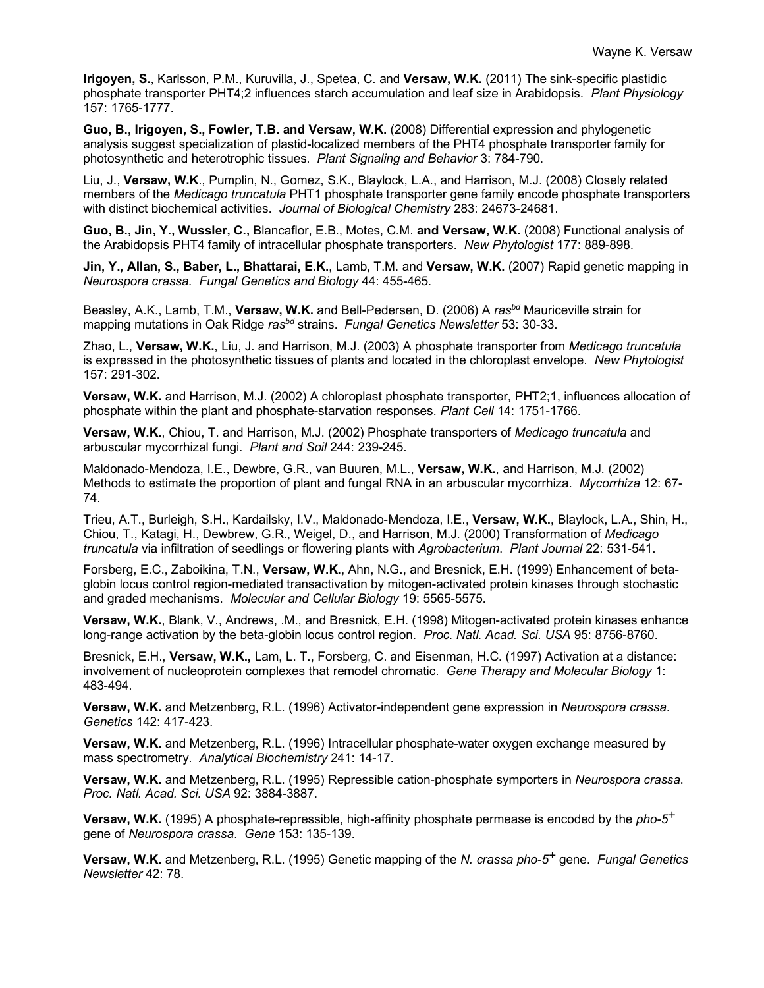**Irigoyen, S.**, Karlsson, P.M., Kuruvilla, J., Spetea, C. and **Versaw, W.K.** (2011) The sink-specific plastidic phosphate transporter PHT4;2 influences starch accumulation and leaf size in Arabidopsis. *Plant Physiology* 157: 1765-1777.

**Guo, B., Irigoyen, S., Fowler, T.B. and Versaw, W.K.** (2008) Differential expression and phylogenetic analysis suggest specialization of plastid-localized members of the PHT4 phosphate transporter family for photosynthetic and heterotrophic tissues. *Plant Signaling and Behavior* 3: 784-790.

Liu, J., **Versaw, W.K**., Pumplin, N., Gomez, S.K., Blaylock, L.A., and Harrison, M.J. (2008) Closely related members of the *Medicago truncatula* PHT1 phosphate transporter gene family encode phosphate transporters with distinct biochemical activities. *Journal of Biological Chemistry* 283: 24673-24681.

**Guo, B., Jin, Y., Wussler, C.,** Blancaflor, E.B., Motes, C.M. **and Versaw, W.K.** (2008) Functional analysis of the Arabidopsis PHT4 family of intracellular phosphate transporters. *New Phytologist* 177: 889-898.

**Jin, Y., Allan, S., Baber, L., Bhattarai, E.K.**, Lamb, T.M. and **Versaw, W.K.** (2007) Rapid genetic mapping in *Neurospora crassa. Fungal Genetics and Biology* 44: 455-465.

Beasley, A.K., Lamb, T.M., **Versaw, W.K.** and Bell-Pedersen, D. (2006) A *rasbd* Mauriceville strain for mapping mutations in Oak Ridge *rasbd* strains. *Fungal Genetics Newsletter* 53: 30-33.

Zhao, L., **Versaw, W.K.**, Liu, J. and Harrison, M.J. (2003) A phosphate transporter from *Medicago truncatula* is expressed in the photosynthetic tissues of plants and located in the chloroplast envelope. *New Phytologist* 157: 291-302.

**Versaw, W.K.** and Harrison, M.J. (2002) A chloroplast phosphate transporter, PHT2;1, influences allocation of phosphate within the plant and phosphate-starvation responses. *Plant Cell* 14: 1751-1766.

**Versaw, W.K.**, Chiou, T. and Harrison, M.J. (2002) Phosphate transporters of *Medicago truncatula* and arbuscular mycorrhizal fungi. *Plant and Soil* 244: 239-245.

Maldonado-Mendoza, I.E., Dewbre, G.R., van Buuren, M.L., **Versaw, W.K.**, and Harrison, M.J. (2002) Methods to estimate the proportion of plant and fungal RNA in an arbuscular mycorrhiza. *Mycorrhiza* 12: 67- 74.

Trieu, A.T., Burleigh, S.H., Kardailsky, I.V., Maldonado-Mendoza, I.E., **Versaw, W.K.**, Blaylock, L.A., Shin, H., Chiou, T., Katagi, H., Dewbrew, G.R., Weigel, D., and Harrison, M.J. (2000) Transformation of *Medicago truncatula* via infiltration of seedlings or flowering plants with *Agrobacterium*. *Plant Journal* 22: 531-541.

Forsberg, E.C., Zaboikina, T.N., **Versaw, W.K.**, Ahn, N.G., and Bresnick, E.H. (1999) Enhancement of betaglobin locus control region-mediated transactivation by mitogen-activated protein kinases through stochastic and graded mechanisms. *Molecular and Cellular Biology* 19: 5565-5575.

**Versaw, W.K.**, Blank, V., Andrews, .M., and Bresnick, E.H. (1998) Mitogen-activated protein kinases enhance long-range activation by the beta-globin locus control region. *Proc. Natl. Acad. Sci. USA* 95: 8756-8760.

Bresnick, E.H., **Versaw, W.K.,** Lam, L. T., Forsberg, C. and Eisenman, H.C. (1997) Activation at a distance: involvement of nucleoprotein complexes that remodel chromatic. *Gene Therapy and Molecular Biology* 1: 483-494.

**Versaw, W.K.** and Metzenberg, R.L. (1996) Activator-independent gene expression in *Neurospora crassa*. *Genetics* 142: 417-423.

**Versaw, W.K.** and Metzenberg, R.L. (1996) Intracellular phosphate-water oxygen exchange measured by mass spectrometry. *Analytical Biochemistry* 241: 14-17.

**Versaw, W.K.** and Metzenberg, R.L. (1995) Repressible cation-phosphate symporters in *Neurospora crassa*. *Proc. Natl. Acad. Sci. USA* 92: 3884-3887.

**Versaw, W.K.** (1995) A phosphate-repressible, high-affinity phosphate permease is encoded by the *pho-5+* gene of *Neurospora crassa*. *Gene* 153: 135-139.

**Versaw, W.K.** and Metzenberg, R.L. (1995) Genetic mapping of the *N. crassa pho-5+* gene. *Fungal Genetics Newsletter* 42: 78.